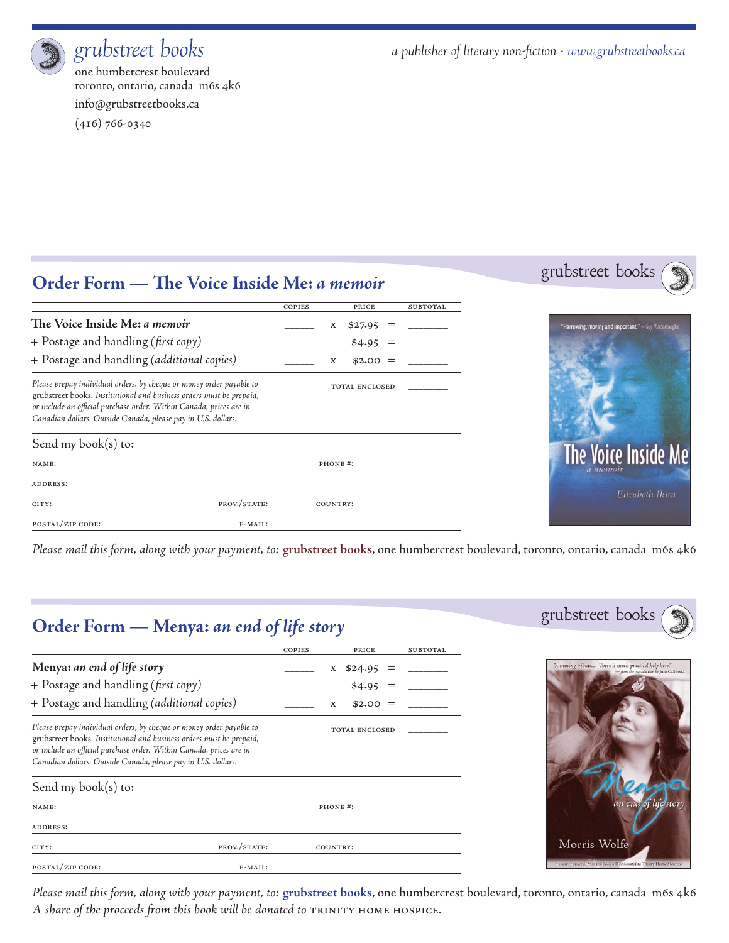

one humbercrest boulevard toronto, ontario, canada m6s 4k6 info@grubstreetbooks.ca

(416) 766-0340

*grubstreet books a publisher of literary non-fiction · www.grubstreetbooks.ca*

### **Order Form — The Voice Inside Me:** *a memoir*

|                                                                                                                                                                                                                                                                                      |              | COPIES  |          | PRICE                 |  | SUBTOTAL |
|--------------------------------------------------------------------------------------------------------------------------------------------------------------------------------------------------------------------------------------------------------------------------------------|--------------|---------|----------|-----------------------|--|----------|
| The Voice Inside Me: a memoir                                                                                                                                                                                                                                                        |              |         | X        | \$27.95               |  |          |
| $+$ Postage and handling (first copy)                                                                                                                                                                                                                                                |              |         |          | \$4.95                |  |          |
| + Postage and handling (additional copies)                                                                                                                                                                                                                                           |              |         | X        | $$2.00 =$             |  |          |
| Please prepay individual orders, by cheque or money order payable to<br>grubstreet books. Institutional and business orders must be prepaid,<br>or include an official purchase order. Within Canada, prices are in<br>Canadian dollars. Outside Canada, please pay in U.S. dollars. |              |         |          | <b>TOTAL ENCLOSED</b> |  |          |
| Send my book $(s)$ to:                                                                                                                                                                                                                                                               |              |         |          |                       |  |          |
| NAME:                                                                                                                                                                                                                                                                                |              | PHONE#: |          |                       |  |          |
| <b>ADDRESS:</b>                                                                                                                                                                                                                                                                      |              |         |          |                       |  |          |
| CITY:                                                                                                                                                                                                                                                                                | PROV./STATE: |         | COUNTRY: |                       |  |          |
| POSTAL/ZIP CODE:                                                                                                                                                                                                                                                                     | E-MAIL:      |         |          |                       |  |          |





*Please mail this form, along with your payment, to:* **grubstreet books**, one humbercrest boulevard, toronto, ontario, canada m6s 4k6

# **Order Form — Menya:** *an end of life story*

|                                                                                                                                                                                                                                                                                      |              | COPIES                |          | PRICE   |  | <b>SUBTOTAL</b> |  |
|--------------------------------------------------------------------------------------------------------------------------------------------------------------------------------------------------------------------------------------------------------------------------------------|--------------|-----------------------|----------|---------|--|-----------------|--|
| Menya: an end of life story                                                                                                                                                                                                                                                          |              |                       | X        | \$24.95 |  |                 |  |
| + Postage and handling (first copy)                                                                                                                                                                                                                                                  |              |                       |          | \$4.95  |  |                 |  |
| + Postage and handling (additional copies)                                                                                                                                                                                                                                           |              |                       | X        | \$2.00  |  |                 |  |
| Please prepay individual orders, by cheque or money order payable to<br>grubstreet books. Institutional and business orders must be prepaid,<br>or include an official purchase order. Within Canada, prices are in<br>Canadian dollars. Outside Canada, please pay in U.S. dollars. |              | <b>TOTAL ENCLOSED</b> |          |         |  |                 |  |
| Send my book $(s)$ to:                                                                                                                                                                                                                                                               |              |                       |          |         |  |                 |  |
| NAME:                                                                                                                                                                                                                                                                                |              | PHONE#:               |          |         |  |                 |  |
| <b>ADDRESS:</b>                                                                                                                                                                                                                                                                      |              |                       |          |         |  |                 |  |
| CITY:                                                                                                                                                                                                                                                                                | PROV./STATE: |                       | COUNTRY: |         |  |                 |  |
| POSTAL/ZIP CODE:                                                                                                                                                                                                                                                                     | E-MAIL:      |                       |          |         |  |                 |  |





*Please mail this form, along with your payment, to:* **grubstreet books**, one humbercrest boulevard, toronto, ontario, canada m6s 4k6 *A share of the proceeds from this book will be donated to* Trinity Home hospice*.*